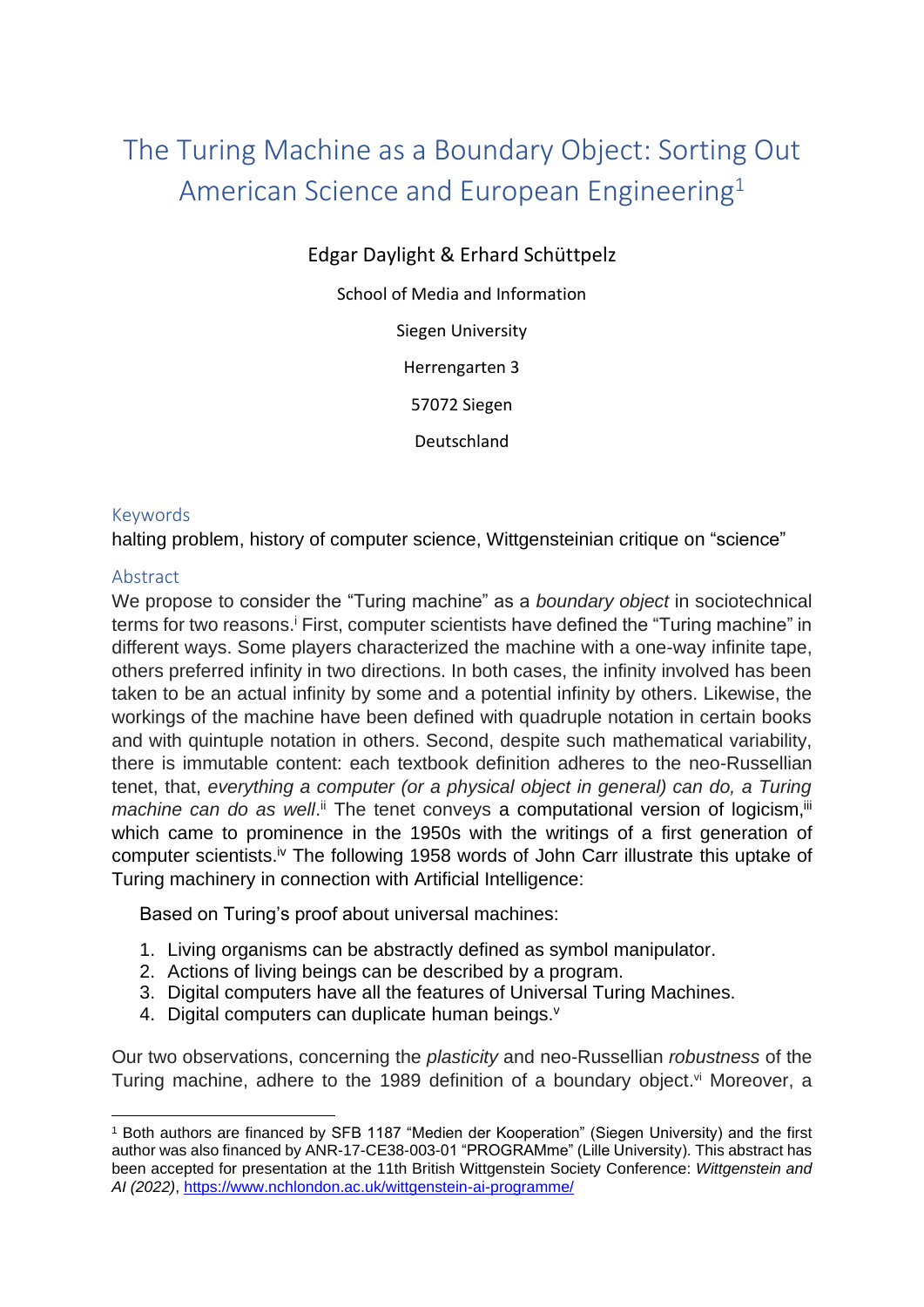## The Turing Machine as a Boundary Object: Sorting Out American Science and European Engineering<sup>1</sup>

Edgar Daylight & Erhard Schüttpelz

School of Media and Information

Siegen University

Herrengarten 3

57072 Siegen

Deutschland

## Keywords

halting problem, history of computer science, Wittgensteinian critique on "science"

## Abstract

We propose to consider the "Turing machine" as a *boundary object* in sociotechnical terms for two reasons.<sup>i</sup> First, computer scientists have defined the "Turing machine" in different ways. Some players characterized the machine with a one-way infinite tape, others preferred infinity in two directions. In both cases, the infinity involved has been taken to be an actual infinity by some and a potential infinity by others. Likewise, the workings of the machine have been defined with quadruple notation in certain books and with quintuple notation in others. Second, despite such mathematical variability, there is immutable content: each textbook definition adheres to the neo-Russellian tenet, that, *everything a computer (or a physical object in general) can do, a Turing machine can do as well*.<sup>ii</sup> The tenet conveys a computational version of logicism, iii which came to prominence in the 1950s with the writings of a first generation of computer scientists.<sup>iv</sup> The following 1958 words of John Carr illustrate this uptake of Turing machinery in connection with Artificial Intelligence:

Based on Turing's proof about universal machines:

- 1. Living organisms can be abstractly defined as symbol manipulator.
- 2. Actions of living beings can be described by a program.
- 3. Digital computers have all the features of Universal Turing Machines.
- 4. Digital computers can duplicate human beings.<sup>v</sup>

Our two observations, concerning the *plasticity* and neo-Russellian *robustness* of the Turing machine, adhere to the 1989 definition of a boundary object.<sup>vi</sup> Moreover, a

<sup>1</sup> Both authors are financed by SFB 1187 "Medien der Kooperation" (Siegen University) and the first author was also financed by ANR-17-CE38-003-01 "PROGRAMme" (Lille University). This abstract has been accepted for presentation at the 11th British Wittgenstein Society Conference: *Wittgenstein and AI (2022)*,<https://www.nchlondon.ac.uk/wittgenstein-ai-programme/>